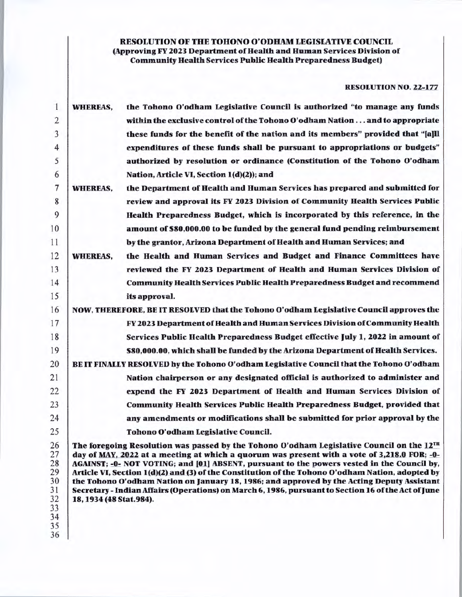# RESOLUTION OF THE TOHONO O'ODHAM LEGISLATIVE COUNCIL (Approving FY 2023 Department of Health and Human Services Division of Community Health Services Public Health Preparedness Budget)

# RESOLUTION NO. 22-177

| 1                          | <b>WHEREAS,</b>                                                                                                                                                                                                                                                                                                                                                                            | the Tohono O'odham Legislative Council is authorized "to manage any funds                |  |  |  |  |
|----------------------------|--------------------------------------------------------------------------------------------------------------------------------------------------------------------------------------------------------------------------------------------------------------------------------------------------------------------------------------------------------------------------------------------|------------------------------------------------------------------------------------------|--|--|--|--|
| $\overline{2}$             |                                                                                                                                                                                                                                                                                                                                                                                            | within the exclusive control of the Tohono O'odham Nation and to appropriate             |  |  |  |  |
| 3                          |                                                                                                                                                                                                                                                                                                                                                                                            | these funds for the benefit of the nation and its members" provided that "[a]ll          |  |  |  |  |
| $\overline{4}$             |                                                                                                                                                                                                                                                                                                                                                                                            | expenditures of these funds shall be pursuant to appropriations or budgets"              |  |  |  |  |
| 5                          |                                                                                                                                                                                                                                                                                                                                                                                            | authorized by resolution or ordinance (Constitution of the Tohono O'odham                |  |  |  |  |
| 6                          |                                                                                                                                                                                                                                                                                                                                                                                            | Nation, Article VI, Section 1(d)(2)); and                                                |  |  |  |  |
| 7                          | <b>WHEREAS,</b>                                                                                                                                                                                                                                                                                                                                                                            | the Department of Health and Human Services has prepared and submitted for               |  |  |  |  |
| 8                          |                                                                                                                                                                                                                                                                                                                                                                                            | review and approval its FY 2023 Division of Community Health Services Public             |  |  |  |  |
| 9                          |                                                                                                                                                                                                                                                                                                                                                                                            | Health Preparedness Budget, which is incorporated by this reference, in the              |  |  |  |  |
| 10                         |                                                                                                                                                                                                                                                                                                                                                                                            | amount of \$80,000.00 to be funded by the general fund pending reimbursement             |  |  |  |  |
| 11                         |                                                                                                                                                                                                                                                                                                                                                                                            | by the grantor, Arizona Department of Health and Human Services; and                     |  |  |  |  |
| 12                         | <b>WHEREAS,</b>                                                                                                                                                                                                                                                                                                                                                                            | the Health and Human Services and Budget and Finance Committees have                     |  |  |  |  |
| 13                         |                                                                                                                                                                                                                                                                                                                                                                                            | reviewed the FY 2023 Department of Health and Human Services Division of                 |  |  |  |  |
| 14                         |                                                                                                                                                                                                                                                                                                                                                                                            | <b>Community Health Services Public Health Preparedness Budget and recommend</b>         |  |  |  |  |
| 15                         |                                                                                                                                                                                                                                                                                                                                                                                            | its approval.                                                                            |  |  |  |  |
| 16                         | NOW, THEREFORE, BE IT RESOLVED that the Tohono O'odham Legislative Council approves the                                                                                                                                                                                                                                                                                                    |                                                                                          |  |  |  |  |
| 17                         |                                                                                                                                                                                                                                                                                                                                                                                            | FY 2023 Department of Health and Human Services Division of Community Health             |  |  |  |  |
| 18                         |                                                                                                                                                                                                                                                                                                                                                                                            | Services Public Health Preparedness Budget effective July 1, 2022 in amount of           |  |  |  |  |
| 19                         |                                                                                                                                                                                                                                                                                                                                                                                            | \$80,000.00, which shall be funded by the Arizona Department of Health Services.         |  |  |  |  |
| 20                         |                                                                                                                                                                                                                                                                                                                                                                                            | BE IT FINALLY RESOLVED by the Tohono O'odham Legislative Council that the Tohono O'odham |  |  |  |  |
| 21                         |                                                                                                                                                                                                                                                                                                                                                                                            | Nation chairperson or any designated official is authorized to administer and            |  |  |  |  |
| 22                         |                                                                                                                                                                                                                                                                                                                                                                                            | expend the FY 2023 Department of Health and Human Services Division of                   |  |  |  |  |
| 23                         |                                                                                                                                                                                                                                                                                                                                                                                            | <b>Community Health Services Public Health Preparedness Budget, provided that</b>        |  |  |  |  |
| 24                         |                                                                                                                                                                                                                                                                                                                                                                                            | any amendments or modifications shall be submitted for prior approval by the             |  |  |  |  |
| 25                         |                                                                                                                                                                                                                                                                                                                                                                                            | Tohono O'odham Legislative Council.                                                      |  |  |  |  |
| 26<br>27<br>28<br>29       | The foregoing Resolution was passed by the Tohono O'odham Legislative Council on the 12TH<br>day of MAY, 2022 at a meeting at which a quorum was present with a vote of 3,218.0 FOR; -0-<br>AGAINST; -0- NOT VOTING; and [01] ABSENT, pursuant to the powers vested in the Council by,<br>Article VI, Section 1(d)(2) and (3) of the Constitution of the Tohono O'odham Nation, adopted by |                                                                                          |  |  |  |  |
| 30<br>31<br>32<br>33<br>34 | the Tohono O'odham Nation on January 18, 1986; and approved by the Acting Deputy Assistant<br>Secretary - Indian Affairs (Operations) on March 6, 1986, pursuant to Section 16 of the Act of June<br>18, 1934 (48 Stat.984).                                                                                                                                                               |                                                                                          |  |  |  |  |
| 35<br>36                   |                                                                                                                                                                                                                                                                                                                                                                                            |                                                                                          |  |  |  |  |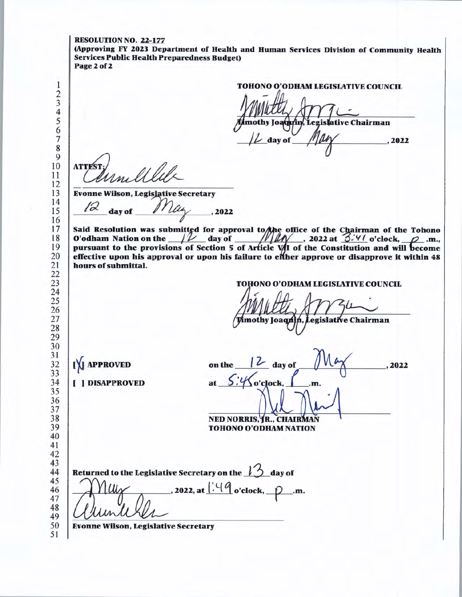RESOLUTION NO. 22-177 (Approving FY 2023 Department of Health and Human Services Division of Community Health Services Public Health Preparedness Budget) Page 2 of 2 TOHONO O'ODHAM LEGISLATIVE COUNCIL mothy Joaqyin, Legislative Chairman day of , 2022 **ATTEST Evonne Wilson, Legislative Secretary**   $May \_\_2$ 2022 day of Said Resolution was submitted for approval to the office of the Chairman of the Tohono O'odham Nation on the  $\mu$  day of  $\mu$  and  $\mu$ , 2022 at  $3.4$  o'clock,  $\rho$ <sub>.</sub>m., pursuant to the provisions of Section 5 of Article  $V/I$  of the Constitution and will become effective upon his approval or upon his failure to efther approve or disapprove it within 48 hours of submittal. **TOHONO O'ODHAM LEGISLATIVE COUNCIL**  mothy Joaquin, Legislative Chairman on the  $\sqrt{\frac{2}{\cdot}}$  day of IX APPROVED on the 16 day of 100 day 2022<br>at 5.4 o'clock, <u>L</u> .m. [ J DISAPPROVED NED NORRIS, JR., CHAIRMAN **TOHONO O'ODHAM NATION**  Returned to the Legislative Secretary on the  $1/3$  day of  $\ldots$ , 2022, at  $\frac{1.49}{0.00}$  o'clock,  $\ldots$ .m. Evonne Wilson, Legislative Secretary